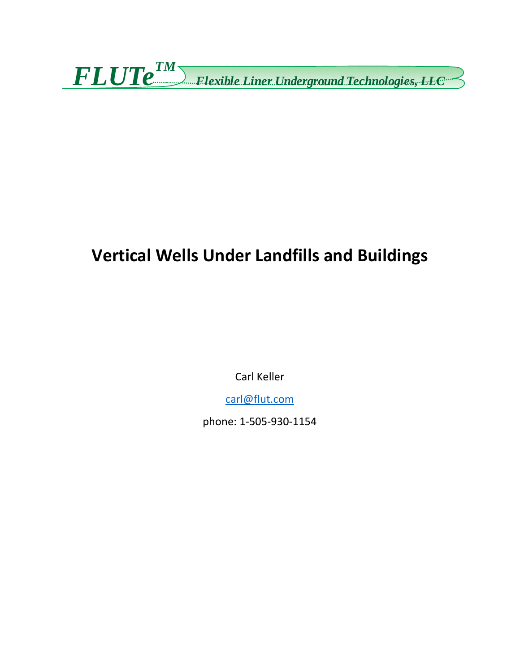*FLUTe TM Flexible Liner Underground Technologies, LLC*

# **Vertical Wells Under Landfills and Buildings**

Carl Keller

carl@flut.com

phone: 1‐505‐930‐1154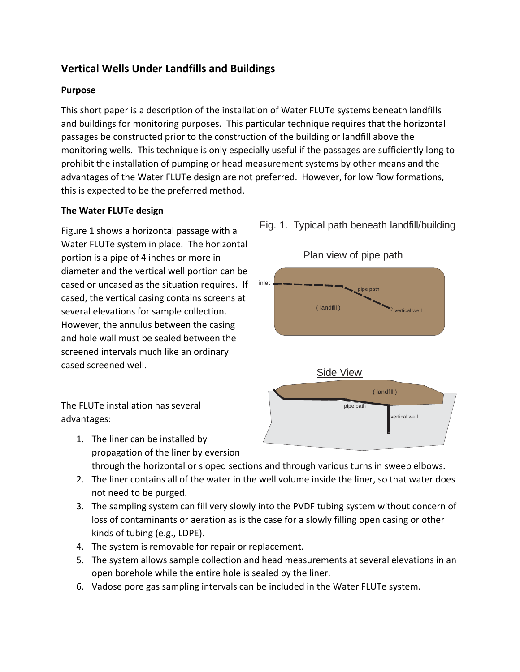## **Vertical Wells Under Landfills and Buildings**

#### **Purpose**

This short paper is a description of the installation of Water FLUTe systems beneath landfills and buildings for monitoring purposes. This particular technique requires that the horizontal passages be constructed prior to the construction of the building or landfill above the monitoring wells. This technique is only especially useful if the passages are sufficiently long to prohibit the installation of pumping or head measurement systems by other means and the advantages of the Water FLUTe design are not preferred. However, for low flow formations, this is expected to be the preferred method.

#### **The Water FLUTe design**

Figure 1 shows a horizontal passage with a Water FLUTe system in place. The horizontal portion is a pipe of 4 inches or more in diameter and the vertical well portion can be cased or uncased as the situation requires. If cased, the vertical casing contains screens at several elevations for sample collection. However, the annulus between the casing and hole wall must be sealed between the screened intervals much like an ordinary cased screened well.

The FLUTe installation has several advantages:

- 1. The liner can be installed by propagation of the liner by eversion through the horizontal or sloped sections and through various turns in sweep elbows.
- 2. The liner contains all of the water in the well volume inside the liner, so that water does not need to be purged.
- 3. The sampling system can fill very slowly into the PVDF tubing system without concern of loss of contaminants or aeration as is the case for a slowly filling open casing or other kinds of tubing (e.g., LDPE).
- 4. The system is removable for repair or replacement.
- 5. The system allows sample collection and head measurements at several elevations in an open borehole while the entire hole is sealed by the liner.
- 6. Vadose pore gas sampling intervals can be included in the Water FLUTe system.

## Fig. 1. Typical path beneath landfill/building



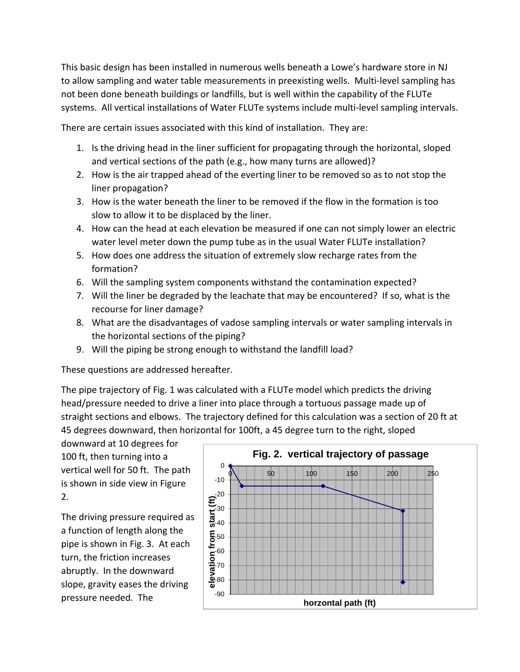This basic design has been installed in numerous wells beneath a Lowe's hardware store in NJ to allow sampling and water table measurements in preexisting wells. Multi-level sampling has not been done beneath buildings or landfills, but is well within the capability of the FLUTe systems. All vertical installations of Water FLUTe systems include multi-level sampling intervals.

There are certain issues associated with this kind of installation. They are:

- 1. Is the driving head in the liner sufficient for propagating through the horizontal, sloped and vertical sections of the path (e.g., how many turns are allowed)?
- 2. How is the air trapped ahead of the everting liner to be removed so as to not stop the liner propagation?
- 3. How is the water beneath the liner to be removed if the flow in the formation is too slow to allow it to be displaced by the liner.
- 4. How can the head at each elevation be measured if one can not simply lower an electric water level meter down the pump tube as in the usual Water FLUTe installation?
- 5. How does one address the situation of extremely slow recharge rates from the formation?
- 6. Will the sampling system components withstand the contamination expected?
- 7. Will the liner be degraded by the leachate that may be encountered? If so, what is the recourse for liner damage?
- 8. What are the disadvantages of vadose sampling intervals or water sampling intervals in the horizontal sections of the piping?
- 9. Will the piping be strong enough to withstand the landfill load?

These questions are addressed hereafter.

The pipe trajectory of Fig. 1 was calculated with a FLUTe model which predicts the driving head/pressure needed to drive a liner into place through a tortuous passage made up of straight sections and elbows. The trajectory defined for this calculation was a section of 20 ft at 45 degrees downward, then horizontal for 100ft, a 45 degree turn to the right, sloped

downward at 10 degrees for 100 ft, then turning into a vertical well for 50 ft. The path is shown in side view in Figure 2.

The driving pressure required as a function of length along the pipe is shown in Fig. 3. At each turn, the friction increases abruptly. In the downward slope, gravity eases the driving pressure needed. The  $\frac{90}{90}$ 

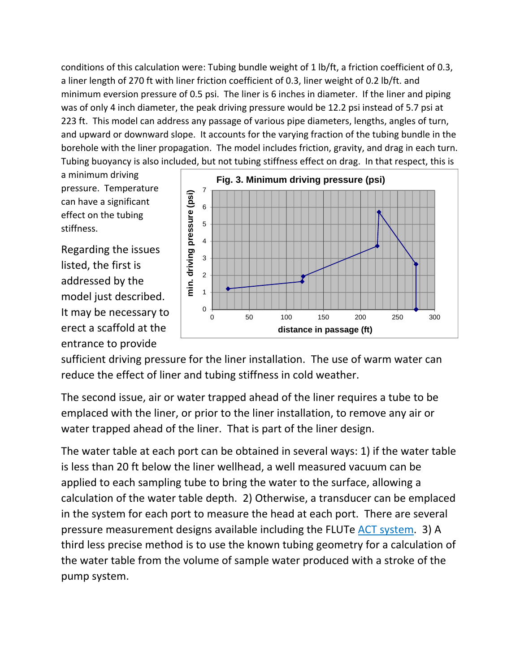conditions of this calculation were: Tubing bundle weight of 1 lb/ft, a friction coefficient of 0.3, a liner length of 270 ft with liner friction coefficient of 0.3, liner weight of 0.2 lb/ft. and minimum eversion pressure of 0.5 psi. The liner is 6 inches in diameter. If the liner and piping was of only 4 inch diameter, the peak driving pressure would be 12.2 psi instead of 5.7 psi at 223 ft. This model can address any passage of various pipe diameters, lengths, angles of turn, and upward or downward slope. It accounts for the varying fraction of the tubing bundle in the borehole with the liner propagation. The model includes friction, gravity, and drag in each turn. Tubing buoyancy is also included, but not tubing stiffness effect on drag. In that respect, this is

a minimum driving pressure. Temperature can have a significant effect on the tubing stiffness.

Regarding the issues listed, the first is addressed by the model just described. It may be necessary to erect a scaffold at the entrance to provide



sufficient driving pressure for the liner installation. The use of warm water can reduce the effect of liner and tubing stiffness in cold weather.

The second issue, air or water trapped ahead of the liner requires a tube to be emplaced with the liner, or prior to the liner installation, to remove any air or water trapped ahead of the liner. That is part of the liner design.

The water table at each port can be obtained in several ways: 1) if the water table is less than 20 ft below the liner wellhead, a well measured vacuum can be applied to each sampling tube to bring the water to the surface, allowing a calculation of the water table depth. 2) Otherwise, a transducer can be emplaced in the system for each port to measure the head at each port. There are several pressure measurement designs available including the FLUTe ACT system. 3) A third less precise method is to use the known tubing geometry for a calculation of the water table from the volume of sample water produced with a stroke of the pump system.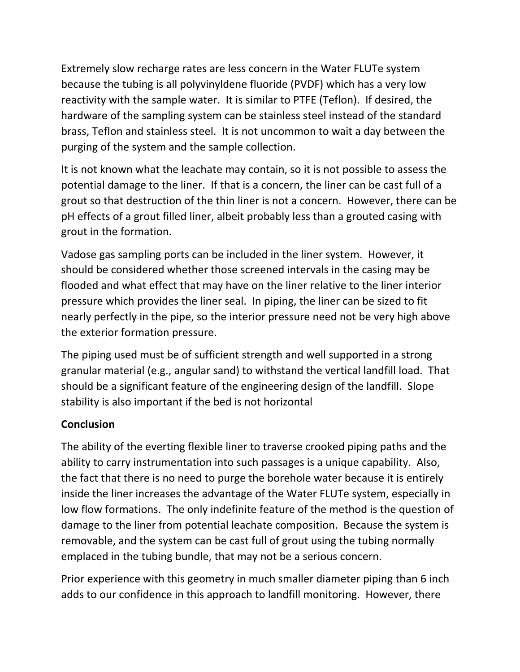Extremely slow recharge rates are less concern in the Water FLUTe system because the tubing is all polyvinyldene fluoride (PVDF) which has a very low reactivity with the sample water. It is similar to PTFE (Teflon). If desired, the hardware of the sampling system can be stainless steel instead of the standard brass, Teflon and stainless steel. It is not uncommon to wait a day between the purging of the system and the sample collection.

It is not known what the leachate may contain, so it is not possible to assess the potential damage to the liner. If that is a concern, the liner can be cast full of a grout so that destruction of the thin liner is not a concern. However, there can be pH effects of a grout filled liner, albeit probably less than a grouted casing with grout in the formation.

Vadose gas sampling ports can be included in the liner system. However, it should be considered whether those screened intervals in the casing may be flooded and what effect that may have on the liner relative to the liner interior pressure which provides the liner seal. In piping, the liner can be sized to fit nearly perfectly in the pipe, so the interior pressure need not be very high above the exterior formation pressure.

The piping used must be of sufficient strength and well supported in a strong granular material (e.g., angular sand) to withstand the vertical landfill load. That should be a significant feature of the engineering design of the landfill. Slope stability is also important if the bed is not horizontal

### **Conclusion**

The ability of the everting flexible liner to traverse crooked piping paths and the ability to carry instrumentation into such passages is a unique capability. Also, the fact that there is no need to purge the borehole water because it is entirely inside the liner increases the advantage of the Water FLUTe system, especially in low flow formations. The only indefinite feature of the method is the question of damage to the liner from potential leachate composition. Because the system is removable, and the system can be cast full of grout using the tubing normally emplaced in the tubing bundle, that may not be a serious concern.

Prior experience with this geometry in much smaller diameter piping than 6 inch adds to our confidence in this approach to landfill monitoring. However, there